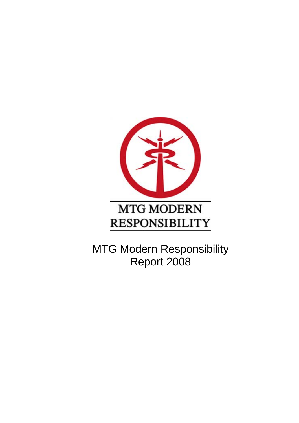

MTG Modern Responsibility Report 2008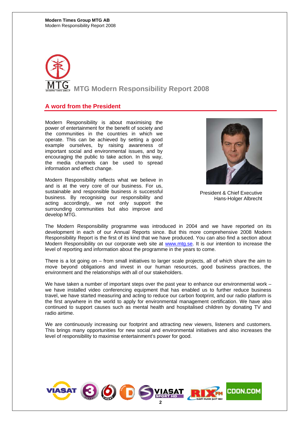

## **A word from the President**

Modern Responsibility is about maximising the power of entertainment for the benefit of society and the communities in the countries in which we operate. This can be achieved by setting a good example ourselves, by raising awareness of important social and environmental issues, and by encouraging the public to take action. In this way, the media channels can be used to spread information and effect change.

Modern Responsibility reflects what we believe in and is at the very core of our business. For us, sustainable and responsible business *is* successful business. By recognising our responsibility and acting accordingly, we not only support the surrounding communities but also improve and develop MTG.



President & Chief Executive Hans-Holger Albrecht

The Modern Responsibility programme was introduced in 2004 and we have reported on its development in each of our Annual Reports since. But this more comprehensive 2008 Modern Responsibility Report is the first of its kind that we have produced. You can also find a section about Modern Responsibility on our corporate web site at www.mtg.se. It is our intention to increase the level of reporting and information about the programme in the years to come.

There is a lot going on – from small initiatives to larger scale projects, all of which share the aim to move beyond obligations and invest in our human resources, good business practices, the environment and the relationships with all of our stakeholders.

We have taken a number of important steps over the past year to enhance our environmental work – we have installed video conferencing equipment that has enabled us to further reduce business travel, we have started measuring and acting to reduce our carbon footprint, and our radio platform is the first anywhere in the world to apply for environmental management certification. We have also continued to support causes such as mental health and hospitalised children by donating TV and radio airtime.

We are continuously increasing our footprint and attracting new viewers, listeners and customers. This brings many opportunities for new social and environmental initiatives and also increases the level of responsibility to maximise entertainment's power for good.

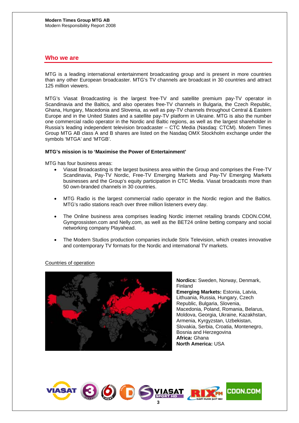## **Who we are**

MTG is a leading international entertainment broadcasting group and is present in more countries than any other European broadcaster. MTG's TV channels are broadcast in 30 countries and attract 125 million viewers.

MTG's Viasat Broadcasting is the largest free-TV and satellite premium pay-TV operator in Scandinavia and the Baltics, and also operates free-TV channels in Bulgaria, the Czech Republic, Ghana, Hungary, Macedonia and Slovenia, as well as pay-TV channels throughout Central & Eastern Europe and in the United States and a satellite pay-TV platform in Ukraine. MTG is also the number one commercial radio operator in the Nordic and Baltic regions, as well as the largest shareholder in Russia's leading independent television broadcaster – CTC Media (Nasdaq: CTCM). Modern Times Group MTG AB class A and B shares are listed on the Nasdaq OMX Stockholm exchange under the symbols 'MTGA' and 'MTGB'.

## **MTG's mission is to 'Maximise the Power of Entertainment'**

MTG has four business areas:

- Viasat Broadcasting is the largest business area within the Group and comprises the Free-TV Scandinavia, Pay-TV Nordic, Free-TV Emerging Markets and Pay-TV Emerging Markets businesses and the Group's equity participation in CTC Media. Viasat broadcasts more than 50 own-branded channels in 30 countries.
- MTG Radio is the largest commercial radio operator in the Nordic region and the Baltics. MTG's radio stations reach over three million listeners every day.
- The Online business area comprises leading Nordic internet retailing brands CDON.COM, Gymgrossisten.com and Nelly.com, as well as the BET24 online betting company and social networking company Playahead.
- The Modern Studios production companies include Strix Television, which creates innovative and contemporary TV formats for the Nordic and international TV markets.

Countries of operation



**Nordics:** Sweden, Norway, Denmark, Finland **Emerging Markets:** Estonia, Latvia, Lithuania, Russia, Hungary, Czech Republic, Bulgaria, Slovenia, Macedonia, Poland, Romania, Belarus, Moldova, Georgia, Ukraine, Kazakhstan, Armenia, Kyrgyzstan, Uzbekistan, Slovakia, Serbia, Croatia, Montenegro, Bosnia and Herzegovina **Africa:** Ghana **North America:** USA

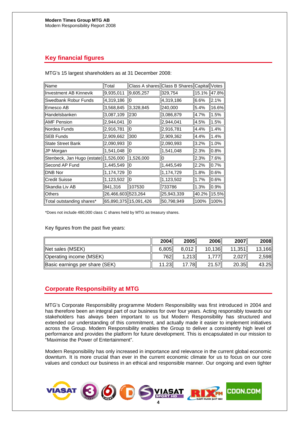# **Key financial figures**

| Name                                  | Total                 |           | Class A shares Class B Shares Capital |       | Votes |
|---------------------------------------|-----------------------|-----------|---------------------------------------|-------|-------|
| Investment AB Kinnevik                | 9,935,011             | 9,605,257 | 329,754                               | 15.1% | 47.8% |
| Swedbank Robur Funds                  | 4,319,186             | lO        | 4,319,186                             | 6.6%  | 2.1%  |
| Emesco AB                             | 3,568,845             | 3,328,845 | 240,000                               | 5.4%  | 16.6% |
| Handelsbanken                         | 3,087,109             | 230       | 3,086,879                             | 4.7%  | 1.5%  |
| <b>AMF Pension</b>                    | 2,944,041             | 0         | 2,944,041                             | 4.5%  | 1.5%  |
| Nordea Funds                          | 2,916,781             | O         | 2,916,781                             | 4.4%  | 1.4%  |
| <b>SEB Funds</b>                      | 2,909,662             | 300       | 2,909,362                             | 4.4%  | 1.4%  |
| <b>State Street Bank</b>              | 2,090,993             | 0         | 2,090,993                             | 3.2%  | 1.0%  |
| JP Morgan                             | 1,541,048             | 0         | 1,541,048                             | 2.3%  | 0.8%  |
| Stenbeck, Jan Hugo (estate) 1,526,000 |                       | 1,526,000 | 10                                    | 2.3%  | 7.6%  |
| Second AP Fund                        | 1,445,549             | 10        | 1,445,549                             | 2.2%  | 0.7%  |
| DNB Nor                               | 1,174,729             | 0         | 1,174,729                             | 1.8%  | 0.6%  |
| <b>Credit Suisse</b>                  | 1,123,502             | 0         | 1,123,502                             | 1.7%  | 0.6%  |
| Skandia Liv AB                        | 841,316               | 107530    | 733786                                | 1.3%  | 0.9%  |
| Others                                | 26,466,603 523,264    |           | 25,943,339                            | 40.2% | 15.5% |
| Total outstanding shares*             | 65,890,375 15,091,426 |           | 50,798,949                            | 100%  | 100%  |

MTG's 15 largest shareholders as at 31 December 2008:

\*Does not include 480,000 class C shares held by MTG as treasury shares.

Key figures from the past five years:

|                                | 2004  | 2005   | 2006   | 2007   | 2008   |
|--------------------------------|-------|--------|--------|--------|--------|
| $\parallel$ Net sales (MSEK)   | 6.805 | 8.012  | 10,136 | 11,351 | 13,166 |
| Operating income (MSEK)        | 7621  | 1,213  |        | 2,027  | 2,598  |
| Basic earnings per share (SEK) | 11.23 | 17.78L | 21.57  | 20.35  | 43.25  |

# **Corporate Responsibility at MTG**

MTG's Corporate Responsibility programme Modern Responsibility was first introduced in 2004 and has therefore been an integral part of our business for over four years. Acting responsibly towards our stakeholders has always been important to us but Modern Responsibility has structured and extended our understanding of this commitment, and actually made it easier to implement initiatives across the Group. Modern Responsibility enables the Group to deliver a consistently high level of performance and provides the platform for future development. This is encapsulated in our mission to "Maximise the Power of Entertainment".

Modern Responsibility has only increased in importance and relevance in the current global economic downturn. It is more crucial than ever in the current economic climate for us to focus on our core values and conduct our business in an ethical and responsible manner. Our ongoing and even tighter

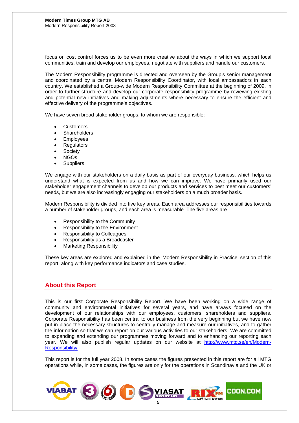focus on cost control forces us to be even more creative about the ways in which we support local communities, train and develop our employees, negotiate with suppliers and handle our customers.

The Modern Responsibility programme is directed and overseen by the Group's senior management and coordinated by a central Modern Responsibility Coordinator, with local ambassadors in each country. We established a Group-wide Modern Responsibility Committee at the beginning of 2009, in order to further structure and develop our corporate responsibility programme by reviewing existing and potential new initiatives and making adjustments where necessary to ensure the efficient and effective delivery of the programme's objectives.

We have seven broad stakeholder groups, to whom we are responsible:

- **Customers**
- **Shareholders**
- **Employees**
- **Regulators**
- **Society**
- NGOs
- **Suppliers**

We engage with our stakeholders on a daily basis as part of our everyday business, which helps us understand what is expected from us and how we can improve. We have primarily used our stakeholder engagement channels to develop our products and services to best meet our customers' needs, but we are also increasingly engaging our stakeholders on a much broader basis.

Modern Responsibility is divided into five key areas. Each area addresses our responsibilities towards a number of stakeholder groups, and each area is measurable. The five areas are

- Responsibility to the Community
- Responsibility to the Environment
- Responsibility to Colleagues
- Responsibility as a Broadcaster
- Marketing Responsibility

These key areas are explored and explained in the 'Modern Responsibility in Practice' section of this report, along with key performance indicators and case studies.

## **About this Report**

This is our first Corporate Responsibility Report. We have been working on a wide range of community and environmental initiatives for several years, and have always focused on the development of our relationships with our employees, customers, shareholders and suppliers. Corporate Responsibility has been central to our business from the very beginning but we have now put in place the necessary structures to centrally manage and measure our initiatives, and to gather the information so that we can report on our various activities to our stakeholders. We are committed to expanding and extending our programmes moving forward and to enhancing our reporting each year. We will also publish regular updates on our website at http://www.mtg.se/en/Modern-Responsibility/

This report is for the full year 2008. In some cases the figures presented in this report are for all MTG operations while, in some cases, the figures are only for the operations in Scandinavia and the UK or

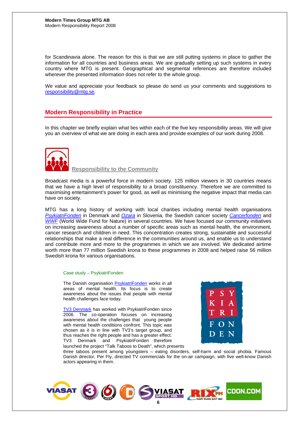for Scandinavia alone. The reason for this is that we are still putting systems in place to gather the information for all countries and business areas. We are gradually setting up such systems in every country where MTG is present. Geographical and segmental references are therefore included wherever the presented information does not refer to the whole group.

We value and appreciate your feedback so please do send us your comments and suggestions to responsibility@mtg.se.

## **Modern Responsibility in Practice**

In this chapter we briefly explain what lies within each of the five key responsibility areas. We will give you an overview of what we are doing in each area and provide examples of our work during 2008.



 **Responsibility to the Community** 

Broadcast media is a powerful force in modern society. 125 million viewers in 30 countries means that we have a high level of responsibility to a broad constituency. Therefore we are committed to maximising entertainment's power for good, as well as minimising the negative impact that media can have on society.

MTG has a long history of working with local charities including mental health organisations *PsykiatriFonden* in Denmark and *Ozara* in Slovenia*,* the Swedish cancer society *Cancerfonden* and *WWF* (World Wide Fund for Nature) in several countries. We have focused our community initiatives on increasing awareness about a number of specific areas such as mental health, the environment, cancer research and children in need. This concentration creates strong, sustainable and successful relationships that make a real difference in the communities around us, and enable us to understand and contribute more and more to the programmes in which we are involved. We dedicated airtime worth more than 77 million Swedish krona to these programmes in 2008 and helped raise 56 million Swedish krona for various organisations.

### Case study – PsykiatriFonden

The Danish organisation PsykiatriFonden works in all areas of mental health. Its focus is to create awareness about the issues that people with mental health challenges face today.

TV3 Denmark has worked with PsykiatriFonden since 2006. The co-operation focuses on increasing awareness about the challenges that young people with mental health conditions confront. This topic was chosen as it is in line with TV3's target group, and thus reaches the right people and has a greater effect. TV3 Denmark and PsykiatriFonden therefore launched the project "Talk Taboos to Death", which presents



three taboos present among youngsters – eating disorders, self-harm and social phobia. Famous Danish director, Per Fly, directed TV commercials for the on-air campaign, with five well-know Danish actors appearing in them.

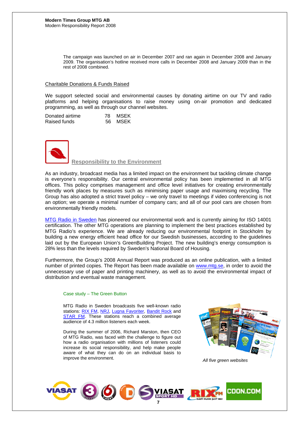The campaign was launched on air in December 2007 and ran again in December 2008 and January 2009. The organisation's hotline received more calls in December 2008 and January 2009 than in the rest of 2008 combined.

## Charitable Donations & Funds Raised

We support selected social and environmental causes by donating airtime on our TV and radio platforms and helping organisations to raise money using on-air promotion and dedicated programming, as well as through our channel websites.

| Donated airtime | 78 MSEK |
|-----------------|---------|
| Raised funds    | 56 MSEK |



 **Responsibility to the Environment** 

As an industry, broadcast media has a limited impact on the environment but tackling climate change is everyone's responsibility. Our central environmental policy has been implemented in all MTG offices. This policy comprises management and office level initiatives for creating environmentally friendly work places by measures such as minimising paper usage and maximising recycling. The Group has also adopted a strict travel policy – we only travel to meetings if video conferencing is not an option; we operate a minimal number of company cars; and all of our pool cars are chosen from environmentally friendly models.

MTG Radio in Sweden has pioneered our environmental work and is currently aiming for ISO 14001 certification. The other MTG operations are planning to implement the best practices established by MTG Radio's experience. We are already reducing our environmental footprint in Stockholm by building a new energy efficient head office for our Swedish businesses, according to the guidelines laid out by the European Union's GreenBuilding Project. The new building's energy consumption is 28% less than the levels required by Sweden's National Board of Housing.

Furthermore, the Group's 2008 Annual Report was produced as an online publication, with a limited number of printed copies. The Report has been made available on www.mtg.se, in order to avoid the unnecessary use of paper and printing machinery, as well as to avoid the environmental impact of distribution and eventual waste management.

### Case study – The Green Button

MTG Radio in Sweden broadcasts five well-known radio stations: RIX FM, NRJ, Lugna Favoriter, Bandit Rock and STAR FM. These stations reach a combined average audience of 4.3 million listeners each week.

During the summer of 2006, Richard Marston, then CEO of MTG Radio, was faced with the challenge to figure out how a radio organisation with millions of listeners could increase its social responsibility, and help make people aware of what they can do on an individual basis to improve the environment. **All five green websites**  $\mathcal{A}$  and five green websites



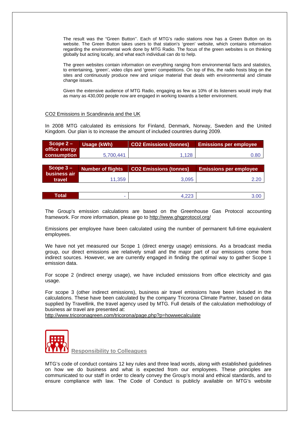The result was the "Green Button''. Each of MTG's radio stations now has a Green Button on its website. The Green Button takes users to that station's 'green' website, which contains information regarding the environmental work done by MTG Radio. The focus of the green websites is on thinking globally but acting locally, and what each individual can do to help.

The green websites contain information on everything ranging from environmental facts and statistics, to entertaining, 'green', video clips and 'green' competitions. On top of this, the radio hosts blog on the sites and continuously produce new and unique material that deals with environmental and climate change issues.

Given the extensive audience of MTG Radio, engaging as few as 10% of its listeners would imply that as many as 430,000 people now are engaged in working towards a better environment.

## CO2 Emissions in Scandinavia and the UK

In 2008 MTG calculated its emissions for Finland, Denmark, Norway, Sweden and the United Kingdom. Our plan is to increase the amount of included countries during 2009.

| Scope $2-$         | <b>Usage (kWh)</b> | <b>CO2 Emissions (tonnes)</b> | l Emissions per employee, |
|--------------------|--------------------|-------------------------------|---------------------------|
| office energy      |                    |                               |                           |
| <b>consumption</b> | 5.700.441          | 1.128                         | 0.80                      |

| Scope $3 -$            | Number of flights | <b>CO2 Emissions (tonnes)</b> | <b>Emissions per employee</b> |  |  |
|------------------------|-------------------|-------------------------------|-------------------------------|--|--|
| business air<br>travel | 11.359            | 3.095                         | 2.20                          |  |  |
|                        |                   |                               |                               |  |  |
| <b>Total</b>           | ۰                 |                               | 3.00                          |  |  |

The Group's emission calculations are based on the Greenhouse Gas Protocol accounting framework. For more information, please go to http://www.ghgprotocol.org/

Emissions per employee have been calculated using the number of permanent full-time equivalent employees.

We have not yet measured our Scope 1 (direct energy usage) emissions. As a broadcast media group, our direct emissions are relatively small and the major part of our emissions come from indirect sources. However, we are currently engaged in finding the optimal way to gather Scope 1 emission data.

For scope 2 (indirect energy usage), we have included emissions from office electricity and gas usage.

For scope 3 (other indirect emissions), business air travel emissions have been included in the calculations. These have been calculated by the company Tricorona Climate Partner, based on data supplied by Travellink, the travel agency used by MTG. Full details of the calculation methodology of business air travel are presented at:

http://www.tricoronagreen.com/tricorona/page.php?p=howwecalculate



 **Responsibility to Colleagues**

MTG's code of conduct contains 12 key rules and three lead words, along with established guidelines on how we do business and what is expected from our employees. These principles are communicated to our staff in order to clearly convey the Group's moral and ethical standards, and to ensure compliance with law. The Code of Conduct is publicly available on MTG's website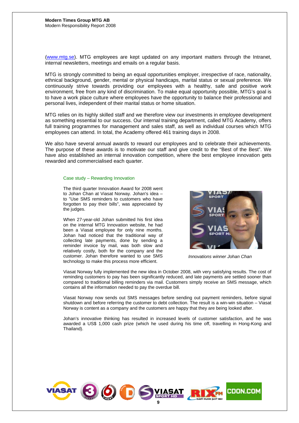(www.mtg.se). MTG employees are kept updated on any important matters through the Intranet, internal newsletters, meetings and emails on a regular basis.

MTG is strongly committed to being an equal opportunities employer, irrespective of race, nationality, ethnical background, gender, mental or physical handicaps, marital status or sexual preference. We continuously strive towards providing our employees with a healthy, safe and positive work environment, free from any kind of discrimination. To make equal opportunity possible, MTG's goal is to have a work place culture where employees have the opportunity to balance their professional and personal lives, independent of their marital status or home situation.

MTG relies on its highly skilled staff and we therefore view our investments in employee development as something essential to our success. Our internal training department, called MTG Academy, offers full training programmes for management and sales staff, as well as individual courses which MTG employees can attend. In total, the Academy offered 461 training days in 2008.

We also have several annual awards to reward our employees and to celebrate their achievements. The purpose of these awards is to motivate our staff and give credit to the "Best of the Best". We have also established an internal innovation competition, where the best employee innovation gets rewarded and commercialised each quarter.

### Case study – Rewarding Innovation

The third quarter Innovation Award for 2008 went to Johan Chan at Viasat Norway. Johan's idea – to "Use SMS reminders to customers who have forgotten to pay their bills", was appreciated by the judges.

When 27-year-old Johan submitted his first idea on the internal MTG Innovation website, he had been a Viasat employee for only nine months. Johan had noticed that the traditional way of collecting late payments, done by sending a reminder invoice by mail, was both slow and relatively costly, both for the company and the customer. Johan therefore wanted to use SMS technology to make this process more efficient.



 *Innovations winner Johan Chan* 

Viasat Norway fully implemented the new idea in October 2008, with very satisfying results. The cost of reminding customers to pay has been significantly reduced, and late payments are settled sooner than compared to traditional billing reminders via mail. Customers simply receive an SMS message, which contains all the information needed to pay the overdue bill.

Viasat Norway now sends out SMS messages before sending out payment reminders, before signal shutdown and before referring the customer to debt collection. The result is a win-win situation – Viasat Norway is content as a company and the customers are happy that they are being looked after.

Johan's innovative thinking has resulted in increased levels of customer satisfaction, and he was awarded a US\$ 1,000 cash prize (which he used during his time off, travelling in Hong-Kong and Thailand).

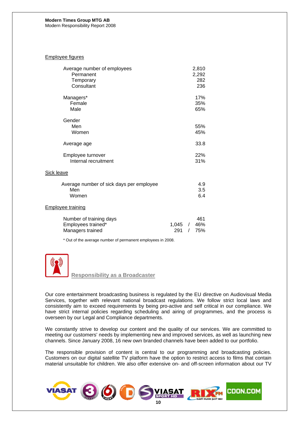Modern Responsibility Report 2008

## Employee figures

| Average number of employees<br>Permanent<br>Temporary<br>Consultant |              |                        | 2,810<br>2,292<br>282<br>236 |
|---------------------------------------------------------------------|--------------|------------------------|------------------------------|
|                                                                     |              |                        |                              |
| Managers*<br>Female<br>Male                                         |              |                        | 17%<br>35%<br>65%            |
| Gender                                                              |              |                        |                              |
| Men                                                                 |              |                        | 55%                          |
| Women                                                               |              |                        | 45%                          |
| Average age                                                         |              |                        | 33.8                         |
| Employee turnover                                                   |              |                        | 22%                          |
| Internal recruitment                                                |              |                        | 31%                          |
| <b>Sick leave</b>                                                   |              |                        |                              |
| Average number of sick days per employee                            |              |                        | 4.9                          |
| Men                                                                 |              |                        | 3.5                          |
| Women                                                               |              |                        | 6.4                          |
| <b>Employee training</b>                                            |              |                        |                              |
| Number of training days<br>Employees trained*<br>Managers trained   | 1,045<br>291 | $\sqrt{2}$<br>$\prime$ | 461<br>46%<br>75%            |

\* Out of the average number of permanent employees in 2008.



 **Responsibility as a Broadcaster**

Our core entertainment broadcasting business is regulated by the EU directive on Audiovisual Media Services, together with relevant national broadcast regulations. We follow strict local laws and consistently aim to exceed requirements by being pro-active and self critical in our compliance. We have strict internal policies regarding scheduling and airing of programmes, and the process is overseen by our Legal and Compliance departments.

We constantly strive to develop our content and the quality of our services. We are committed to meeting our customers' needs by implementing new and improved services, as well as launching new channels. Since January 2008, 16 new own branded channels have been added to our portfolio.

The responsible provision of content is central to our programming and broadcasting policies. Customers on our digital satellite TV platform have the option to restrict access to films that contain material unsuitable for children. We also offer extensive on- and off-screen information about our TV

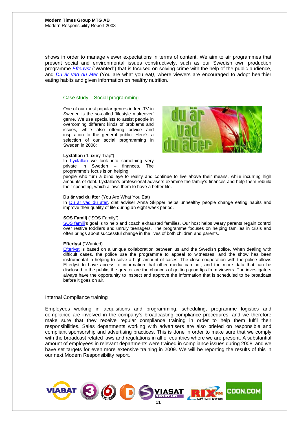shows in order to manage viewer expectations in terms of content. We aim to air programmes that present social and environmental issues constructively, such as our Swedish own production programme *Efterlyst* ("Wanted") that is focused on solving crime with the help of the public audience, and *Du är vad du äter* (You are what you eat*)*, where viewers are encouraged to adopt healthier eating habits and given information on healthy nutrition.

### Case study – Social programming

One of our most popular genres in free-TV in Sweden is the so-called 'lifestyle makeover' genre. We use specialists to assist people in overcoming different kinds of problems and issues, while also offering advice and inspiration to the general public. Here's a selection of our social programming in Sweden in 2008:

### **Lyxfällan** ("Luxury Trap")

In Lyxfällan we look into something very private in Sweden – finances. The programme's focus is on helping



people who turn a blind eye to reality and continue to live above their means, while incurring high amounts of debt. Lyxfällan's professional advisers examine the family's finances and help them rebuild their spending, which allows them to have a better life.

#### **Du är vad du äter** (You Are What You Eat)

In Du är vad du äter, diet adviser Anna Skipper helps unhealthy people change eating habits and improve their quality of life during an eight week period.

#### **SOS Familj** ("SOS Family")

SOS familj's goal is to help and coach exhausted families. Our host helps weary parents regain control over restive toddlers and unruly teenagers. The programme focuses on helping families in crisis and often brings about successful change in the lives of both children and parents.

#### **Efterlyst** ("Wanted)

Efterlyst is based on a unique collaboration between us and the Swedish police. When dealing with difficult cases, the police use the programme to appeal to witnesses; and the show has been instrumental in helping to solve a high amount of cases. The close cooperation with the police allows Efterlyst to have access to information that other media can not, and the more data that can be disclosed to the public, the greater are the chances of getting good tips from viewers. The investigators always have the opportunity to inspect and approve the information that is scheduled to be broadcast before it goes on air.

#### Internal Compliance training

Employees working in acquisitions and programming, scheduling, programme logistics and compliance are involved in the company's broadcasting compliance procedures, and we therefore make sure that they receive regular compliance training in order to help them fulfil their responsibilities. Sales departments working with advertisers are also briefed on responsible and compliant sponsorship and advertising practices. This is done in order to make sure that we comply with the broadcast related laws and regulations in all of countries where we are present. A substantial amount of employees in relevant departments were trained in compliance issues during 2008, and we have set targets for even more extensive training in 2009. We will be reporting the results of this in our next Modern Responsibility report.

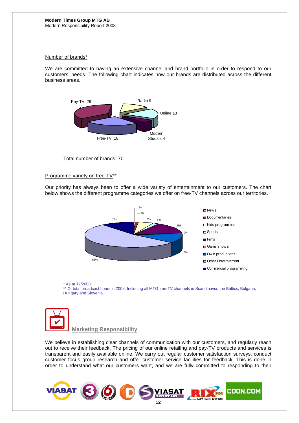## Number of brands\*

We are committed to having an extensive channel and brand portfolio in order to respond to our customers' needs. The following chart indicates how our brands are distributed across the different business areas.



Total number of brands: 70

## Programme variety on free-TV\*\*

Our priority has always been to offer a wide variety of entertainment to our customers. The chart below shows the different programme categories we offer on free-TV channels across our territories.



### \* As at 12/2008.

\*\* Of total broadcast hours in 2008. Including all MTG free-TV channels in Scandinavia, the Baltics, Bulgaria, Hungary and Slovenia.



 **Marketing Responsibility**

We believe in establishing clear channels of communication with our customers, and regularly reach out to receive their feedback. The pricing of our online retailing and pay-TV products and services is transparent and easily available online. We carry out regular customer satisfaction surveys, conduct customer focus group research and offer customer service facilities for feedback. This is done in order to understand what our customers want, and we are fully committed to responding to their